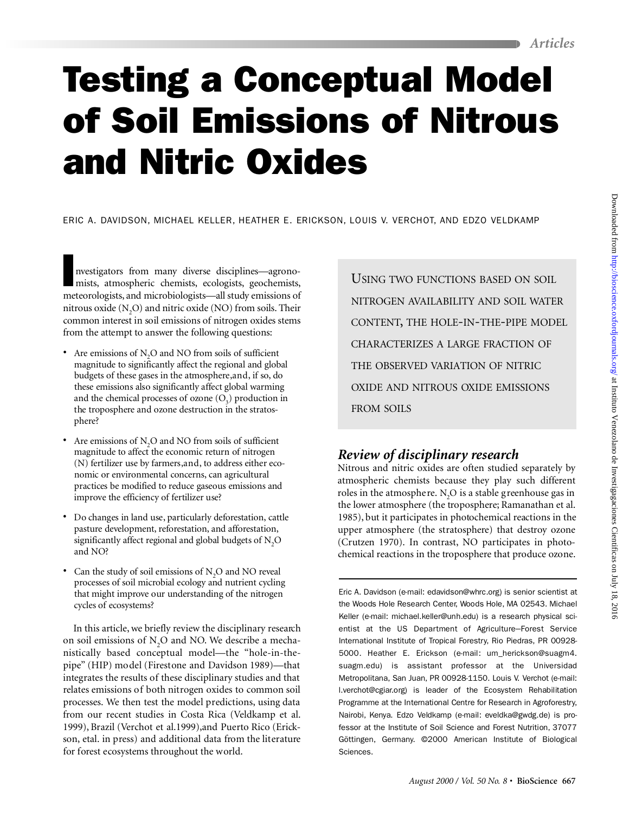## *Articles*

# Testing a Conceptual Model of Soil Emissions of Nitrous and Nitric Oxides

ERIC A. DAVIDSON, MICHAEL KELLER, HEATHER E. ERICKSON, LOUIS V. VERCHOT, AND EDZO VELDKAMP

nvestigators from many diverse disciplines—agronomists, atmospheric chemists, ecologists, geochemists, meteorologists, and microbiologists—all study emissions of nvestigators from many diverse disciplines—agronomists, atmospheric chemists, ecologists, geochemists, nitrous oxide (N<sub>2</sub>O) and nitric oxide (NO) from soils. Their common interest in soil emissions of nitrogen oxides stems from the attempt to answer the following questions:

- Are emissions of N<sub>2</sub>O and NO from soils of sufficient magnitude to significantly affect the regional and global budgets of these gases in the atmosphere, and, if so, do these emissions also significantly affect global warming and the chemical processes of ozone  $(O_3)$  production in the troposphere and ozone destruction in the stratosphere?
- Are emissions of  $N<sub>2</sub>O$  and NO from soils of sufficient magnitude to affect the economic return of nitrogen (N) fertilizer use by farmers, and, to address either economic or environmental concerns, can agricultural practices be modified to reduce gaseous emissions and improve the efficiency of fertilizer use?
- Do changes in land use, particularly deforestation, cattle pasture development, reforestation, and afforestation, significantly affect regional and global budgets of N<sub>2</sub>O and NO?
- Can the study of soil emissions of  $N<sub>2</sub>O$  and NO reveal processes of soil microbial ecology and nutrient cycling that might improve our understanding of the nitrogen cycles of ecosystems?

In this article, we briefly review the disciplinary research on soil emissions of N<sub>2</sub>O and NO. We describe a mechanistically based conceptual model—the "hole-in-thepipe" (HIP) model (Firestone and Davidson 1989)—that integrates the results of these disciplinary studies and that relates emissions of both nitrogen oxides to common soil processes. We then test the model predictions, using data from our recent studies in Costa Rica (Veldkamp et al. 1999), Brazil (Verchot et al.1999),and Puerto Rico (Erickson, etal. in press) and additional data from the literature for forest ecosystems throughout the world.

USING TWO FUNCTIONS BASED ON SOIL NITROGEN AVAILABILITY AND SOIL WATER CONTENT, THE HOLE-IN-THE-PIPE MODEL CHARACTERIZES A LARGE FRACTION OF THE OBSERVED VARIATION OF NITRIC OXIDE AND NITROUS OXIDE EMISSIONS FROM SOILS

# *Revi ew of d i sci pl i n a ry re sea rch*

Nitrous and nitric oxides are often studied separately by atmospheric chemists because they play such different roles in the atmosphere. N<sub>2</sub>O is a stable greenhouse gas in the lower atmosphere (the troposphere; Ramanathan et al. 1985), but it participates in photochemical reactions in the upper atmosphere (the stratosphere) that destroy ozone (Crutzen 1970). In contrast, NO participates in photochemical reactions in the troposphere that produce ozone.

Eric A. Davidson (e-mail: edavidson@whrc.org) is senior scientist at the Woods Hole Research Center, Woods Hole, MA 02543. Michael Keller (e-mail: michael.keller@unh.edu) is a research physical scientist at the US Department of Agriculture–Forest Service International Institute of Tropical Forestry, Rio Piedras, PR 00928-5000. Heather E. Erickson (e-mail: um herickson@suagm4. suagm.edu) is assistant professor at the Universidad Metropolitana, San Juan, PR 00928-1150. Louis V. Verchot (e-mail: l.verchot@cgiar.org) is leader of the Ecosystem Rehabilitation Programme at the International Centre for Research in Agroforestry, Nairobi, Kenya. Edzo Veldkamp (e-mail: eveldka@gwdg.de) is professor at the Institute of Soil Science and Forest Nutrition, 37077 Göttingen, Germany. @2000 American Institute of Biological Sciences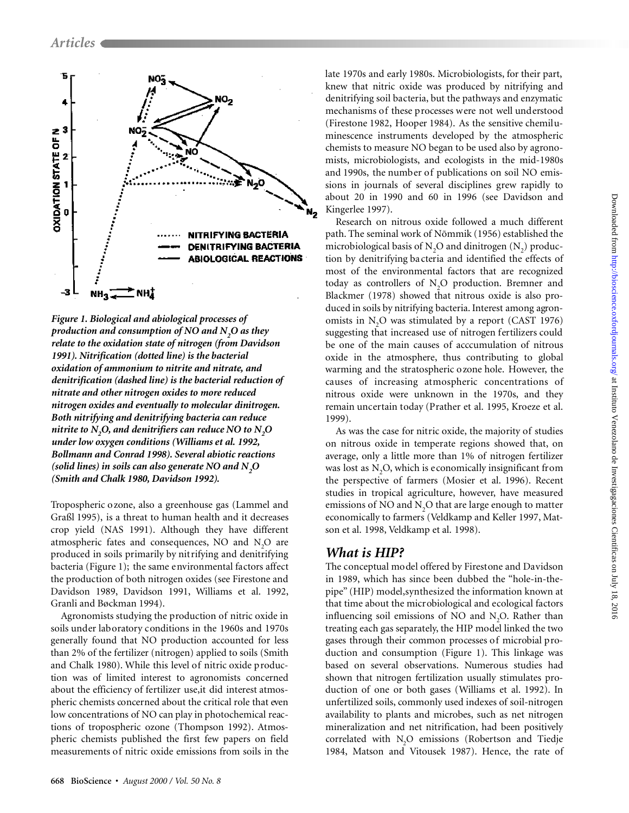

*Figure 1. Biological and abiological processes of production and consumption of NO and N<sub>2</sub>O as they relate to the oxidation state of nitrogen (from Davidson* 1991). Nitrification (dotted line) is the bacterial *oxidation of ammonium to nitrite and nitrate, and denitrification (dashed line) is the bacterial reduction of nitrate and other nitrogen oxides to more reduced n i trogen oxides and even tu a lly to molecular dinitrogen .* Both nitrifying and denitrifying bacteria can reduce *nitrite to N<sub>2</sub>O, and denitrifiers can reduce NO to N<sub>2</sub>O under low oxygen conditions (Williams et al. 1992, Bollmann and Conrad 1998). Several abiotic reactions (solid lines) in soils can also generate NO and N<sub>2</sub>O (Smith and Chalk 1980, Davidson 1992).* 

Tropospheric ozone, also a greenhouse gas (Lammel and Graßl 1995), is a threat to human health and it decreases crop yield (NAS 1991). Although they have different atmospheric fates and consequences, NO and N<sub>2</sub>O are produced in soils primarily by nitrifying and denitrifying bacteria (Figure 1); the same environmental factors affect the production of both nitrogen oxides (see Firestone and Davidson 1989, Davidson 1991, Williams et al. 1992, Granli and Bøckman 1994).

Agronomists studying the production of nitric oxide in soils under laboratory conditions in the 1960s and 1970s generally found that NO production accounted for less than 2% of the fertilizer (nitrogen) applied to soils (Smith and Chalk 1980). While this level of nitric oxide production was of limited interest to agronomists concerned about the efficiency of fertilizer use,it did interest atmospheric chemists concerned about the critical role that even low concentrations of NO can play in photochemical reactions of tropospheric ozone (Thompson 1992). Atmospheric chemists published the first few papers on field measurements of nitric oxide emissions from soils in the late 1970s and early 1980s. Microbiologists, for their part, knew that nitric oxide was produced by nitrifying and denitrifying soil bacteria, but the pathways and enzymatic mechanisms of these processes were not well understood (Firestone 1982, Hooper 1984). As the sensitive chemiluminescence instruments developed by the atmospheric chemists to measure NO began to be used also by agronomists, microbiologists, and ecologists in the mid-1980s and 1990s, the number of publications on soil NO emissions in journals of several disciplines grew rapidly to about 20 in 1990 and 60 in 1996 (see Davidson and Kingerlee 1997).

Research on nitrous oxide followed a much different path. The seminal work of Nõmmik (1956) established the microbiological basis of  $N_2O$  and dinitrogen  $(N_2)$  production by denitrifying bacteria and identified the effects of most of the environmental factors that are recognized today as controllers of  $N_2O$  production. Bremner and Blackmer (1978) showed that nitrous oxide is also produced in soils by nitrifying bacteria. Interest among agronomists in N<sub>2</sub>O was stimulated by a report (CAST 1976) suggesting that increased use of nitrogen fertilizers could be one of the main causes of acccumulation of nitrous oxide in the atmosphere, thus contributing to global warming and the stratospheric ozone hole. However, the causes of increasing atmospheric concentrations of nitrous oxide were unknown in the 1970s, and they remain uncertain today (Prather et al. 1995, Kroeze et al. 1999).

As was the case for nitric oxide, the majority of studies on nitrous oxide in temperate regions showed that, on average, only a little more than 1% of nitrogen fertilizer was lost as N<sub>2</sub>O, which is economically insignificant from the perspective of farmers (Mosier et al. 1996). Recent studies in tropical agriculture, however, have measured emissions of NO and N<sub>2</sub>O that are large enough to matter economically to farmers (Veldkamp and Keller 1997, Matson et al. 1998, Veldkamp et al. 1998).

## *What is HIP?*

The conceptual model offered by Firestone and Davidson in 1989, which has since been dubbed the "hole-in-thepipe" (HIP) model,synthesized the information known at that time about the microbiological and ecological factors influencing soil emissions of NO and N<sub>2</sub>O. Rather than treating each gas separately, the HIP model linked the two gases through their common processes of microbial production and consumption (Figure 1). This linkage was based on several observations. Numerous studies had shown that nitrogen fertilization usually stimulates production of one or both gases (Williams et al. 1992). In unfertilized soils, commonly used indexes of soil-nitrogen availability to plants and microbes, such as net nitrogen mineralization and net nitrification, had been positively correlated with N<sub>2</sub>O emissions (Robertson and Tiedje 1984, Matson and Vitousek 1987). Hence, the rate of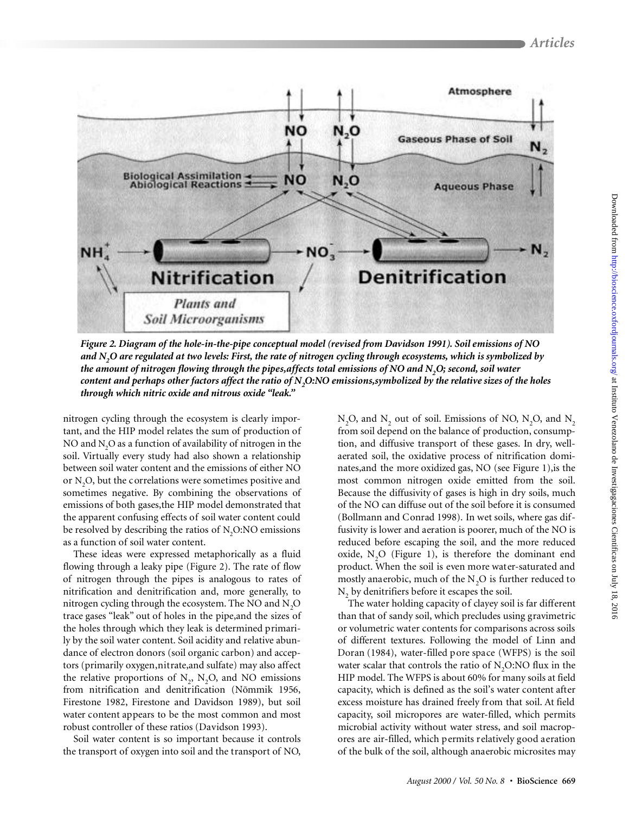

*Figure 2. Diagram of the hole-in-the-pipe conceptual model (revised from Davidson 1991). Soil emissions of NO and N*<sub>2</sub>*O* are regulated at two levels: First, the rate of nitrogen cycling through ecosystems, which is symbolized by *the amount of nitrogen flowing through the pipes, affects total emissions of NO and N<sub></sub><sup>2</sup>O; second, soil water content and perhaps other factors affect the ratio of N<sub>2</sub>O:NO emissions, symbolized by the relative sizes of the holes through which nitric oxide and nitrous oxide "leak."* 

nitrogen cycling through the ecosystem is clearly important, and the HIP model relates the sum of production of NO and N<sub>2</sub>O as a function of availability of nitrogen in the soil. Virtually every study had also shown a relationship between soil water content and the emissions of either NO or N<sub>2</sub>O, but the correlations were sometimes positive and sometimes negative. By combining the observations of emissions of both gases,the HIP model demonstrated that the apparent confusing effects of soil water content could be resolved by describing the ratios of N<sub>2</sub>O:NO emissions as a function of soil water content.

These ideas were expressed metaphorically as a fluid flowing through a leaky pipe (Figure 2). The rate of flow of nitrogen through the pipes is analogous to rates of nitrification and denitrification and, more generally, to nitrogen cycling through the ecosystem. The NO and N2O trace gases "leak" out of holes in the pipe,and the sizes of the holes through which they leak is determined primarily by the soil water content. Soil acidity and relative abundance of electron donors (soil organic carbon) and acceptors (primarily oxygen,nitrate,and sulfate) may also affect the relative proportions of  $N_2$ ,  $N_2O$ , and NO emissions from nitrification and denitrification (Nõmmik 1956, Firestone 1982, Firestone and Davidson 1989), but soil water content appears to be the most common and most robust controller of these ratios (Davidson 1993).

Soil water content is so important because it controls the transport of oxygen into soil and the transport of NO,

 $N_2$ O, and  $N_2$  out of soil. Emissions of NO,  $N_2$ O, and  $N_2$ from soil depend on the balance of production, consumption, and diffusive transport of these gases. In dry, wellaerated soil, the oxidative process of nitrification dominates,and the more oxidized gas, NO (see Figure 1),is the most common nitrogen oxide emitted from the soil. Because the diffusivity of gases is high in dry soils, much of the NO can diffuse out of the soil before it is consumed (Bollmann and Conrad 1998). In wet soils, where gas diffusivity is lower and aeration is poorer, much of the NO is reduced before escaping the soil, and the more reduced oxide, N<sub>2</sub>O (Figure 1), is therefore the dominant end product. When the soil is even more water-saturated and mostly anaerobic, much of the  $N_2O$  is further reduced to  $N_2$  by denitrifiers before it escapes the soil.

The water holding capacity of clayey soil is far different than that of sandy soil, which precludes using gravimetric or volumetric water contents for comparisons across soils of different textures. Following the model of Linn and Doran (1984), water-filled pore space (WFPS) is the soil water scalar that controls the ratio of  $N_2O:NO$  flux in the HIP model. The WFPS is about 60% for many soils at field capacity, which is defined as the soil's water content after excess moisture has drained freely from that soil. At field capacity, soil micropores are water-filled, which permits microbial activity without water stress, and soil macropores are air-filled, which permits relatively good aeration of the bulk of the soil, although anaerobic microsites may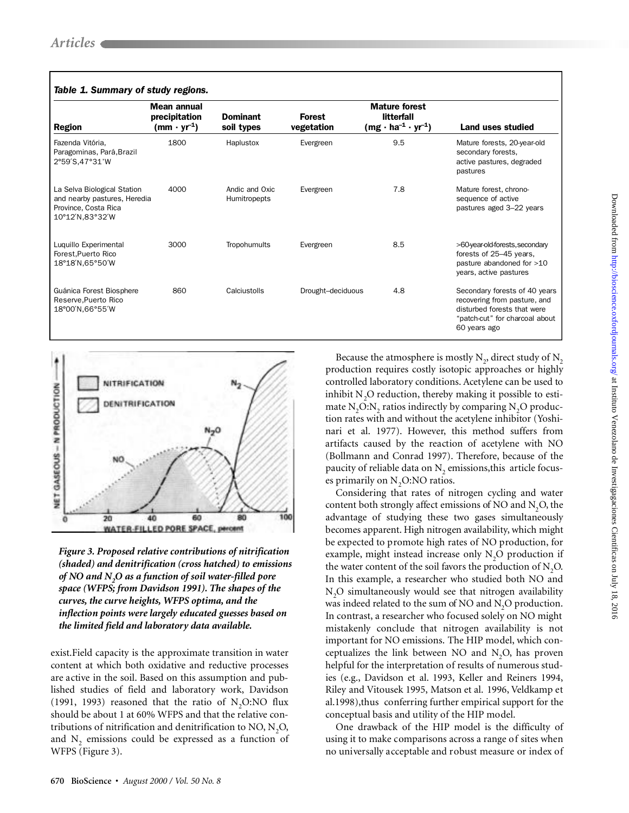| lable 1. Summary of study regions.                                                                     |                                                   | <b>Mature forest</b>           |                             |                                                                       |                                                                                                                                                |
|--------------------------------------------------------------------------------------------------------|---------------------------------------------------|--------------------------------|-----------------------------|-----------------------------------------------------------------------|------------------------------------------------------------------------------------------------------------------------------------------------|
| <b>Region</b>                                                                                          | Mean annual<br>precipitation<br>$(mm \cdot yr^1)$ | <b>Dominant</b><br>soil types  | <b>Forest</b><br>vegetation | litterfall<br>(mg $\cdot$ ha <sup>-1</sup> $\cdot$ yr <sup>-1</sup> ) | Land uses studied                                                                                                                              |
| Fazenda Vitória.<br>Paragominas, Pará, Brazil<br>2°59'S,47°31'W                                        | 1800                                              | Haplustox                      | Evergreen                   | 9.5                                                                   | Mature forests, 20-year-old<br>secondary forests,<br>active pastures, degraded<br>pastures                                                     |
| La Selva Biological Station<br>and nearby pastures, Heredia<br>Province, Costa Rica<br>10°12'N,83°32'W | 4000                                              | Andic and Oxic<br>Humitropepts | Evergreen                   | 7.8                                                                   | Mature forest, chrono-<br>sequence of active<br>pastures aged 3-22 years                                                                       |
| Luquillo Experimental<br>Forest, Puerto Rico<br>18°18'N,65°50'W                                        | 3000                                              | Tropohumults                   | Evergreen                   | 8.5                                                                   | >60-year-old-forests, secondary<br>forests of 25-45 years,<br>pasture abandoned for >10<br>years, active pastures                              |
| Guánica Forest Biosphere<br>Reserve, Puerto Rico<br>18°00'N,66°55'W                                    | 860                                               | Calciustolls                   | Drought-deciduous           | 4.8                                                                   | Secondary forests of 40 years<br>recovering from pasture, and<br>disturbed forests that were<br>"patch-cut" for charcoal about<br>60 years ago |

#### **Table 1. Summary of study regions.**



*Figure 3. Proposed relative contributions of nitrification (shaded) and denitrification (cross hatched) to emissions of NO and N2O as a fu n ction of soil wa ter- f i lled po re space (WFPS; from Davidson 1991). The shapes of the c u rve s , the curve hei gh t s , WFPS opti m a , and the* inflection points were largely educated guesses based on *the limited field and laboratory data available.* 

exist.Field capacity is the approximate transition in water content at which both oxidative and reductive processes are active in the soil. Based on this assumption and published studies of field and laboratory work, Davidson (1991, 1993) reasoned that the ratio of N<sub>2</sub>O:NO flux should be about 1 at 60% WFPS and that the relative contributions of nitrification and denitrification to  $NO$ ,  $N$ <sub>2</sub>O<sub>2</sub> and  $N_2$  emissions could be expressed as a function of WFPS (Figure 3).

Because the atmosphere is mostly  $N_2$ , direct study of  $N_2$ production requires costly isotopic approaches or highly controlled laboratory conditions. Acetylene can be used to inhibit  $N<sub>2</sub>O$  reduction, thereby making it possible to estimate  $\text{N}_2\text{O}:\text{N}_2$  ratios indirectly by comparing  $\text{N}_2\text{O}$  production rates with and without the acetylene inhibitor (Yoshinari et al. 1977). However, this method suffers from artifacts caused by the reaction of acetylene with NO (Bollmann and Conrad 1997). Therefore, because of the paucity of reliable data on  $\mathrm{N}_2$  emissions,this article focuses primarily on N<sub>2</sub>O:NO ratios.

Considering that rates of nitrogen cycling and water content both strongly affect emissions of NO and  $N_2O$ , the advantage of studying these two gases simultaneously becomes apparent. High nitrogen availability, which might be expected to promote high rates of NO production, for example, might instead increase only  $N<sub>2</sub>O$  production if the water content of the soil favors the production of  $N_2O$ . In this example, a researcher who studied both NO and N<sub>2</sub>O simultaneously would see that nitrogen availability was indeed related to the sum of NO and N<sub>2</sub>O production. In contrast, a researcher who focused solely on NO might mistakenly conclude that nitrogen availability is not important for NO emissions. The HIP model, which conceptualizes the link between NO and  $N_2O$ , has proven helpful for the interpretation of results of numerous studies (e.g., Davidson et al. 1993, Keller and Reiners 1994, Riley and Vitousek 1995, Matson et al. 1996, Veldkamp et al.1998),thus conferring further empirical support for the conceptual basis and utility of the HIP model.

One drawback of the HIP model is the difficulty of using it to make comparisons across a range of sites when no universally acceptable and robust measure or index of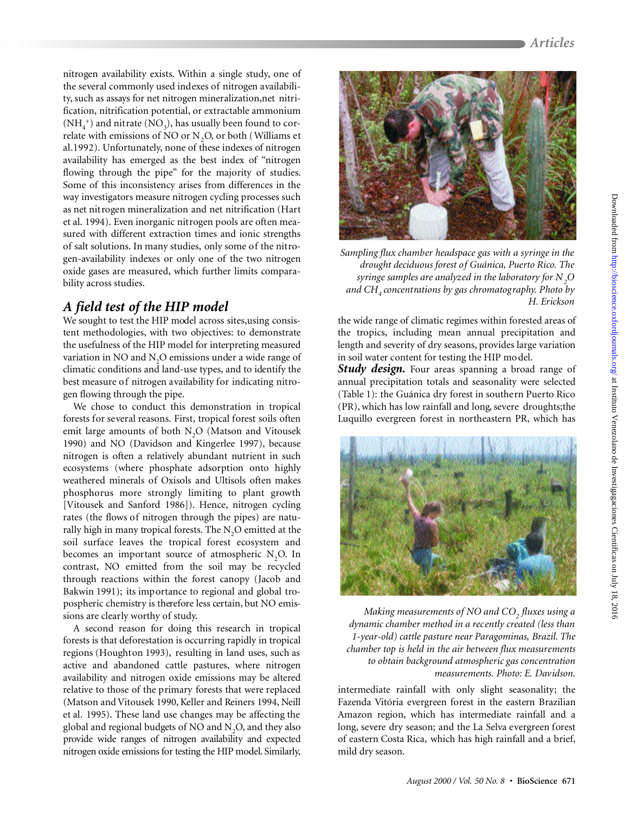nitrogen availability exists. Within a single study, one of the several commonly used indexes of nitrogen availability, such as assays for net nitrogen mineralization,net nitrification, nitrification potential, or extractable ammonium  $(\mathrm{NH}_4^+)$  and nitrate  $(\mathrm{NO}_3),$  has usually been found to correlate with emissions of NO or  $N_2O$ , or both (Williams et al.1992). Unfortunately, none of these indexes of nitrogen availability has emerged as the best index of "nitrogen flowing through the pipe" for the majority of studies. Some of this inconsistency arises from differences in the way investigators measure nitrogen cycling processes such as net nitrogen mineralization and net nitrification (Hart et al. 1994). Even inorganic nitrogen pools are often measured with different extraction times and ionic strengths of salt solutions. In many studies, only some of the nitrogen-availability indexes or only one of the two nitrogen oxide gases are measured, which further limits comparability across studies.

# A field test of the HIP model

We sought to test the HIP model across sites,using consistent methodologies, with two objectives: to demonstrate the usefulness of the HIP model for interpreting measured variation in NO and N<sub>2</sub>O emissions under a wide range of climatic conditions and land-use types, and to identify the best measure of nitrogen availability for indicating nitrogen flowing through the pipe.

We chose to conduct this demonstration in tropical forests for several reasons. First, tropical forest soils often emit large amounts of both N<sub>2</sub>O (Matson and Vitousek 1990) and NO (Davidson and Kingerlee 1997), because nitrogen is often a relatively abundant nutrient in such ecosystems (where phosphate adsorption onto highly weathered minerals of Oxisols and Ultisols often makes phosphorus more strongly limiting to plant growth [Vitousek and Sanford 1986]). Hence, nitrogen cycling rates (the flows of nitrogen through the pipes) are naturally high in many tropical forests. The  $N<sub>2</sub>O$  emitted at the soil surface leaves the tropical forest ecosystem and becomes an important source of atmospheric  $N_2O$ . In contrast, NO emitted from the soil may be recycled through reactions within the forest canopy (Jacob and Bakwin 1991); its importance to regional and global tropospheric chemistry is therefore less certain, but NO emissions are clearly worthy of study.

A second reason for doing this research in tropical forests is that deforestation is occurring rapidly in tropical regions (Houghton 1993), resulting in land uses, such as active and abandoned cattle pastures, where nitrogen availability and nitrogen oxide emissions may be altered relative to those of the primary forests that were replaced (Matson and Vitousek 1990, Keller and Reiners 1994, Neill et al. 1995). These land use changes may be affecting the global and regional budgets of NO and  $N_2O$ , and they also provide wide ranges of nitrogen availability and expected nitrogen oxide emissions for testing the HIP model. Similarly,



*Sampling flux chamber headspace gas with a syringe in the drought deciduous forest of Guánica, Puerto Rico. The syringe samples are analyzed in the laboratory for N2O and CH<sup>4</sup> concentrations by gas chromatography. Photo by H. Erickson*

the wide range of climatic regimes within forested areas of the tropics, including mean annual precipitation and length and severity of dry seasons, provides large variation in soil water content for testing the HIP model.

**Study design.** Four areas spanning a broad range of annual precipitation totals and seasonality were selected (Table 1): the Guánica dry forest in southern Puerto Rico (PR), which has low rainfall and long, severe droughts;the Luquillo evergreen forest in northeastern PR, which has



*Making measurements of NO and CO<sup>2</sup> fluxes using a dynamic chamber method in a recently created (less than 1-year-old) cattle pasture near Paragominas, Brazil. The chamber top is held in the air between flux measurements to obtain background atmospheric gas concentration measurements. Photo: E. Davidson.*

intermediate rainfall with only slight seasonality; the Fazenda Vitória evergreen forest in the eastern Brazilian Amazon region, which has intermediate rainfall and a long, severe dry season; and the La Selva evergreen forest of eastern Costa Rica, which has high rainfall and a brief, mild dry season.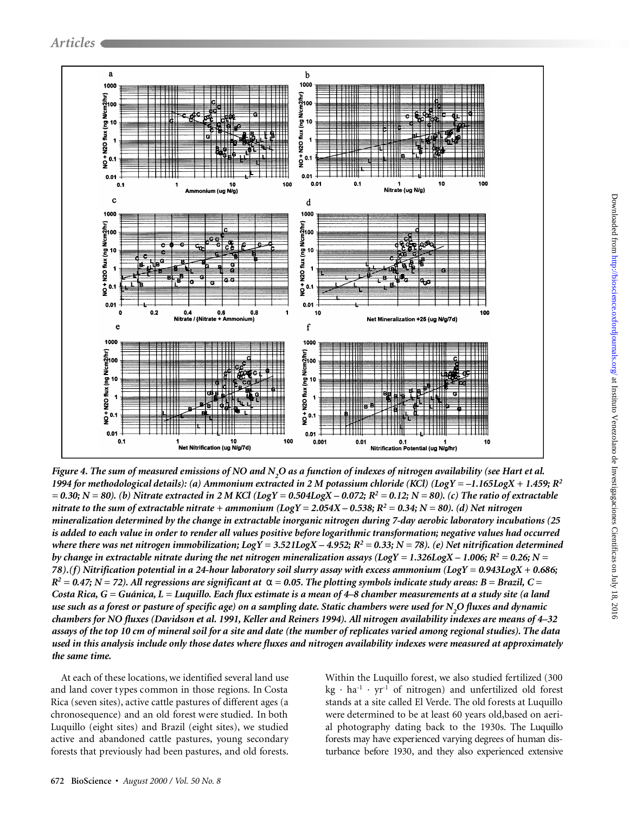

*Figure 4. The sum of measured emissions of NO and N<sub><i>i*</sub>O as a function of indexes of nitrogen availability (see Hart et al. 1994 for methodological details): (a) Ammonium extracted in 2 M potassium chloride (KCl) (LogY = -1.165LogX + 1.459;  $R^2$  $= 0.30; N = 80.$  *(b) Nitrate extracted in 2 M KCl (LogY* =  $0.504$ LogX –  $0.072; R^2 = 0.12; N = 80.$  *(c) The ratio of extractable nitrate to the sum of extractable nitrate + ammonium (LogY = 2.054X – 0.538; R<sup>2</sup> = 0.34; N = 80). (d) Net nitrogen mineralization determined by the change in extractable inorganic nitrogen during 7-day aerobic laboratory incubations (25 is added to each value in order to render all values positive before logarithmic transformation; negative values had occurred where there was net nitrogen immobilization;* LogY =  $3.521$ LogX –  $4.952$ ; R<sup>2</sup> = 0.33; N = 78). (e) Net nitrification determined *by change in extractable nitrate during the net nitrogen mineralization assays (LogY = 1.326LogX – 1.006; R<sup>2</sup> = 0.26; N = 7 8 ) .( f) Ni tri f i c a tion poten tial in a 24-hour labora to ry soil slurry assay with excess ammonium (LogY = 0.943LogX + 0.686;*  $R^2$  = 0.47; N = 72). All regressions are significant at  $\alpha$  = 0.05. The plotting symbols indicate study areas: B = Brazil, C = *Costa Rica, G* = *Guánica, L* = *Luquillo. Each flux estimate is a mean of 4–8 chamber measurements at a study site (a land use such as a forest or pasture of specific age) on a sampling date. Static chambers were used for N<sub><i>a</sub>O* fluxes and dynamic</sub> *chambers for NO fluxes (Davidson et al. 1991, Keller and Reiners 1994). All nitrogen availability indexes are means of 4–32 assays of the top 10 cm of mineral soil for a site and date (the number of replicates varied among regional studies). The data* used in this analysis include only those dates where fluxes and nitrogen availability indexes were measured at approximately *the same time.* 

At each of these locations, we identified several land use and land cover types common in those regions. In Costa Rica (seven sites), active cattle pastures of different ages (a chronosequence) and an old forest were studied. In both Luquillo (eight sites) and Brazil (eight sites), we studied active and abandoned cattle pastures, young secondary forests that previously had been pastures, and old forests.

Within the Luquillo forest, we also studied fertilized (300 kg · ha<sup>-1</sup> · yr<sup>-1</sup> of nitrogen) and unfertilized old forest stands at a site called El Verde. The old forests at Luquillo were determined to be at least 60 years old,based on aerial photography dating back to the 1930s. The Luquillo forests may have experienced varying degrees of human disturbance before 1930, and they also experienced extensive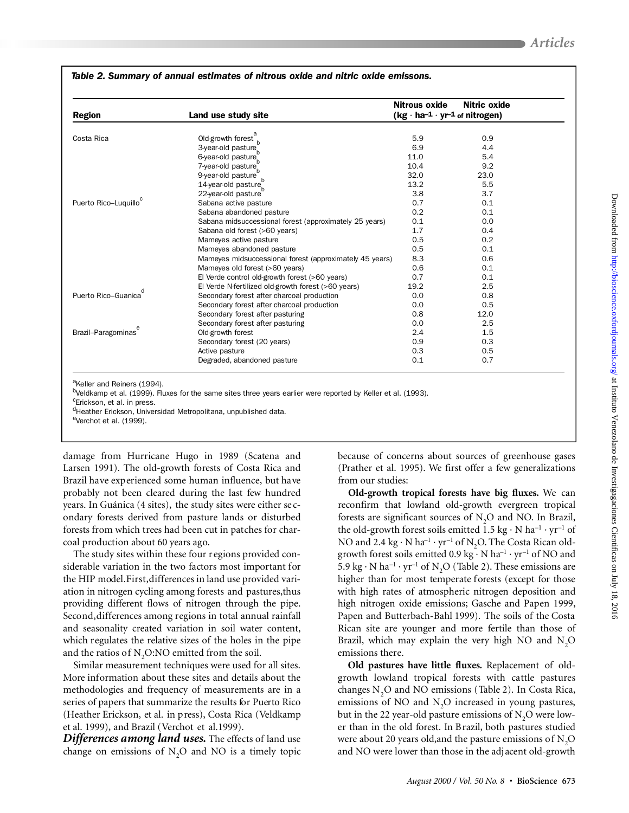| Region               | Land use study site                                     | Nitrous oxide                                  | Nitric oxide |
|----------------------|---------------------------------------------------------|------------------------------------------------|--------------|
|                      |                                                         | $(kg \cdot ha^{-1} \cdot yr^{-1}$ of nitrogen) |              |
| Costa Rica           | Old-growth forest <sup>a</sup>                          | 5.9                                            | 0.9          |
|                      | 3-year-old pasture                                      | 6.9                                            | 4.4          |
|                      | 6-year-old pasture                                      | 11.0                                           | 5.4          |
|                      | 7-year-old pasture                                      | 10.4                                           | 9.2          |
|                      | 9-year-old pasture b                                    | 32.0                                           | 23.0         |
|                      | 14-year-old pasture                                     | 13.2                                           | 5.5          |
|                      | 22-year-old pasture                                     | 3.8                                            | 3.7          |
| Puerto Rico-Luquillo | Sabana active pasture                                   | 0.7                                            | 0.1          |
|                      | Sabana abandoned pasture                                | 0.2                                            | 0.1          |
|                      | Sabana midsuccessional forest (approximately 25 years)  | 0.1                                            | 0.0          |
|                      | Sabana old forest (>60 years)                           | 1.7                                            | 0.4          |
|                      | Mameyes active pasture                                  | 0.5                                            | 0.2          |
|                      | Mameyes abandoned pasture                               | 0.5                                            | 0.1          |
|                      | Mameyes midsuccessional forest (approximately 45 years) | 8.3                                            | 0.6          |
|                      | Mameyes old forest (>60 years)                          | 0.6                                            | 0.1          |
|                      | El Verde control old-growth forest (>60 years)          | 0.7                                            | 0.1          |
|                      | El Verde N-fertilized old-growth forest (>60 years)     | 19.2                                           | 2.5          |
| Puerto Rico-Guanica  | Secondary forest after charcoal production              | 0.0                                            | 0.8          |
|                      | Secondary forest after charcoal production              | 0.0                                            | 0.5          |
|                      | Secondary forest after pasturing                        | 0.8                                            | 12.0         |
|                      | Secondary forest after pasturing                        | 0.0                                            | 2.5          |
| Brazil-Paragominas   | Old-growth forest                                       | 2.4                                            | 1.5          |
|                      | Secondary forest (20 years)                             | 0.9                                            | 0.3          |
|                      | Active pasture                                          | 0.3                                            | 0.5          |
|                      | Degraded, abandoned pasture                             | 0.1                                            | 0.7          |

Table 2. Summary of annual estimates of nitrous oxide and nitric oxide emissons.

<sup>a</sup>Keller and Reiners (1994).

<sup>b</sup>Veldkamp et al. (1999). Fluxes for the same sites three years earlier were reported by Keller et al. (1993).

<sup>c</sup>Erickson, et al. in press.

<sup>d</sup>Heather Erickson, Universidad Metropolitana, unpublished data.

<sup>e</sup>Verchot et al. (1999).

damage from Hurricane Hugo in 1989 (Scatena and Larsen 1991). The old-growth forests of Costa Rica and Brazil have experienced some human influence, but have probably not been cleared during the last few hundred years. In Guánica (4 sites), the study sites were either se condary forests derived from pasture lands or disturbed forests from which trees had been cut in patches for charcoal production about 60 years ago.

The study sites within these four regions provided considerable variation in the two factors most important for the HIP model.First,differences in land use provided variation in nitrogen cycling among forests and pastures,thus providing different flows of nitrogen through the pipe. Second,differences among regions in total annual rainfall and seasonality created variation in soil water content, which regulates the relative sizes of the holes in the pipe and the ratios of  $N_2O:NO$  emitted from the soil.

Similar measurement techniques were used for all sites. More information about these sites and details about the methodologies and frequency of measurements are in a series of papers that summarize the results for Puerto Rico (Heather Erickson, et al. in press), Costa Rica (Veldkamp et al. 1999), and Brazil (Verchot et al.1999).

*Differences among land uses.* The effects of land use change on emissions of  $N_2O$  and  $NO$  is a timely topic because of concerns about sources of greenhouse gases (Prather et al. 1995). We first offer a few generalizations from our studies:

**Old-growth tropical forests have big fluxes.** We can reconfirm that lowland old-growth evergreen tropical forests are significant sources of N<sub>2</sub>O and NO. In Brazil, the old-growth forest soils emitted 1.5 kg  $\cdot$  N ha $^{-1}$   $\cdot$  yr $^{-1}$  of NO and 2.4 kg  $\cdot$  N ha<sup>-1</sup>  $\cdot$  yr<sup>-1</sup> of N<sub>2</sub>O. The Costa Rican oldgrowth forest soils emitted 0.9 kg  $\cdot$  N ha<sup>-1</sup>  $\cdot$  yr<sup>-1</sup> of NO and 5.9 kg  $\cdot$  N ha<sup>-1</sup>  $\cdot$  yr<sup>-1</sup> of N<sub>2</sub>O (Table 2). These emissions are higher than for most temperate forests (except for those with high rates of atmospheric nitrogen deposition and high nitrogen oxide emissions; Gasche and Papen 1999, Papen and Butterbach-Bahl 1999). The soils of the Costa Rican site are younger and more fertile than those of Brazil, which may explain the very high NO and N<sub>2</sub>O emissions there.

Old pastures have little fluxes. Replacement of oldgrowth lowland tropical forests with cattle pastures changes  $N_2O$  and NO emissions (Table 2). In Costa Rica, emissions of NO and N<sub>2</sub>O increased in young pastures, but in the 22 year-old pasture emissions of  $N_2O$  were lower than in the old forest. In Brazil, both pastures studied were about 20 years old, and the pasture emissions of  $N_2O$ and NO were lower than those in the adjacent old-growth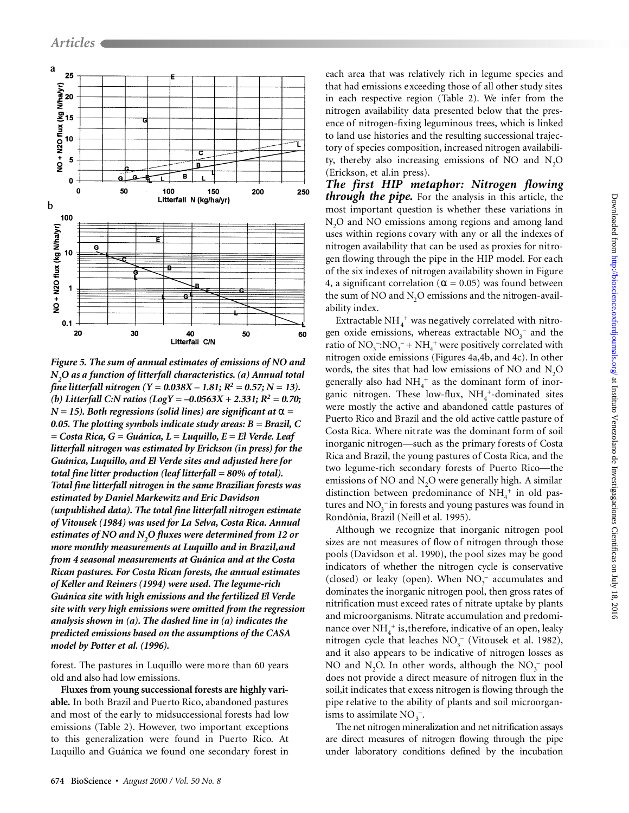

*Figure 5. The sum of annual estimates of emissions of NO and N*<sub>2</sub>*O* as a function of litterfall characteristics. (a) Annual total *fine litterfall nitrogen*  $(Y = 0.038X - 1.81; R^2 = 0.57; N = 13)$ . *(b) Li t terf a ll C:N ra tios (LogY = –0.0563X + 2.331; R<sup>2</sup> = 0.70;*  $N = 15$ ). Both regressions (solid lines) are significant at  $\alpha =$ 0.05. The plotting symbols indicate study areas:  $B = Brazil$ ,  $C$ *= Costa Ri c a , G = Gu á n i c a , L = Lu q u i ll o, E = El Verd e . Lea f litterfall nitrogen was estimated by Erickson (in press) for the Guánica, Luquillo, and El Verde sites and adjusted here for total fine litter production (leaf litterfall = 80% of total).* **Total fine litterfall nitrogen in the same Brazilian forests was** *estimated by Daniel Markewitz and Eric Davidson (unpublished data). The total fine litterfall nitrogen estimate of Vitousek (1984) was used for La Selva, Costa Rica. Annual e s ti m a tes of NO and N2O fluxes were determined from 12 or more monthly measurements at Luquillo and in Brazil,and from 4 seasonal measurements at Guánica and at the Costa Rican pastures. For Costa Rican forests, the annual estimates of Keller and Reiners (1994) were used. The legume-rich Guánica site with high emissions and the fertilized El Verde site with very high emissions were omitted from the regression analysis shown in (a). The dashed line in (a) indicates the pre d i cted emissions ba sed on the assu m ptions of the CASA model by Potter et al. (1996).* 

forest. The pastures in Luquillo were more than 60 years old and also had low emissions.

Fluxes from young successional forests are highly variable. In both Brazil and Puerto Rico, abandoned pastures and most of the early to midsuccessional forests had low emissions (Table 2). However, two important exceptions to this generalization were found in Puerto Rico. At Luquillo and Guánica we found one secondary forest in each area that was relatively rich in legume species and that had emissions exceeding those of all other study sites in each respective region (Table 2). We infer from the nitrogen availability data presented below that the presence of nitrogen-fixing leguminous trees, which is linked to land use histories and the resulting successional trajectory of species composition, increased nitrogen availability, thereby also increasing emissions of NO and N<sub>2</sub>O (Erickson, et al.in press).

*The first HIP metaphor: Nitrogen flowing through the pipe.* For the analysis in this article, the most important question is whether these variations in N<sub>2</sub>O and NO emissions among regions and among land uses within regions covary with any or all the indexes of nitrogen availability that can be used as proxies for nitrogen flowing through the pipe in the HIP model. For each of the six indexes of nitrogen availability shown in Figure 4, a significant correlation ( $\alpha$  = 0.05) was found between the sum of NO and N<sub>2</sub>O emissions and the nitrogen-availability index.

Extractable  $\mathrm{NH}_4^+$  was negatively correlated with nitrogen oxide emissions, whereas extractable  $NO<sub>3</sub><sup>-</sup>$  and the ratio of  $NO_3^- : NO_3^- + NH_4^+$  were positively correlated with nitrogen oxide emissions (Figures 4a,4b, and 4c). In other words, the sites that had low emissions of NO and N<sub>2</sub>O generally also had  $NH_4^+$  as the dominant form of inorganic nitrogen. These low-flux,  $NH_4^+$ -dominated sites were mostly the active and abandoned cattle pastures of Puerto Rico and Brazil and the old active cattle pasture of Costa Rica. Where nitrate was the dominant form of soil inorganic nitrogen—such as the primary forests of Costa Rica and Brazil, the young pastures of Costa Rica, and the two legume-rich secondary forests of Puerto Rico—the emissions of NO and  $N<sub>2</sub>O$  were generally high. A similar distinction between predominance of  $NH_4^+$  in old pastures and  $\mathrm{NO_3^-}$  in forests and young pastures was found in Rondônia, Brazil (Neill et al. 1995).

Although we recognize that inorganic nitrogen pool sizes are not measures of flow of nitrogen through those pools (Davidson et al. 1990), the pool sizes may be good indicators of whether the nitrogen cycle is conservative (closed) or leaky (open). When  $NO_3^-$  accumulates and dominates the inorganic nitrogen pool, then gross rates of nitrification must exceed rates of nitrate uptake by plants and microorganisms. Nitrate accumulation and predominance over  $\mathrm{NH}_4^+$  is,<br>therefore, indicative of an open, leaky nitrogen cycle that leaches  $NO<sub>3</sub><sup>-</sup>$  (Vitousek et al. 1982), and it also appears to be indicative of nitrogen losses as NO and  $N_2O$ . In other words, although the  $NO_3^-$  pool does not provide a direct measure of nitrogen flux in the soil,it indicates that excess nitrogen is flowing through the pipe relative to the ability of plants and soil microorganisms to assimilate  $NO_3^-$ .

The net nitrogen mineralization and net nitrification assays are direct measures of nitrogen flowing through the pipe under laboratory conditions defined by the incubation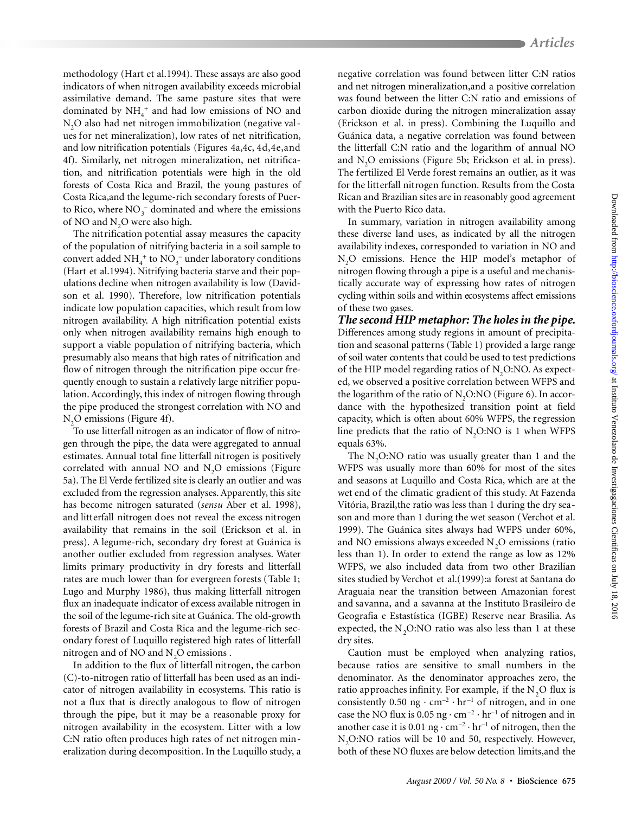methodology (Hart et al.1994). These assays are also good indicators of when nitrogen availability exceeds microbial assimilative demand. The same pasture sites that were dominated by NH<sup>4</sup> <sup>+</sup> and had low emissions of NO and N<sub>2</sub>O also had net nitrogen immobilization (negative values for net mineralization), low rates of net nitrification, and low nitrification potentials (Figures 4a,4c, 4d,4e,and 4f). Similarly, net nitrogen mineralization, net nitrification, and nitrification potentials were high in the old forests of Costa Rica and Brazil, the young pastures of Costa Rica,and the legume-rich secondary forests of Puerto Rico, where  $NO_3^-$  dominated and where the emissions of NO and N<sub>2</sub>O were also high.

The nitrification potential assay measures the capacity of the population of nitrifying bacteria in a soil sample to convert added  $\mathrm{NH}_4^+$  to  $\mathrm{NO}_3^-$  under laboratory conditions (Hart et al.1994). Nitrifying bacteria starve and their populations decline when nitrogen availability is low (Davidson et al. 1990). Therefore, low nitrification potentials indicate low population capacities, which result from low nitrogen availability. A high nitrification potential exists only when nitrogen availability remains high enough to support a viable population of nitrifying bacteria, which presumably also means that high rates of nitrification and flow of nitrogen through the nitrification pipe occur frequently enough to sustain a relatively large nitrifier population. Accordingly, this index of nitrogen flowing through the pipe produced the strongest correlation with NO and N<sub>2</sub>O emissions (Figure 4f).

To use litterfall nitrogen as an indicator of flow of nitrogen through the pipe, the data were aggregated to annual estimates. Annual total fine litterfall nitrogen is positively correlated with annual NO and  $N<sub>2</sub>O$  emissions (Figure 5a). The El Verde fertilized site is clearly an outlier and was excluded from the regression analyses. Apparently, this site has become nitrogen saturated (*sensu* Aber et al. 1998), and litterfall nitrogen does not reveal the excess nitrogen availability that remains in the soil (Erickson et al. in press). A legume-rich, secondary dry forest at Guánica is another outlier excluded from regression analyses. Water limits primary productivity in dry forests and litterfall rates are much lower than for evergreen forests (Table 1; Lugo and Murphy 1986), thus making litterfall nitrogen flux an inadequate indicator of excess available nitrogen in the soil of the legume-rich site at Guánica. The old-growth forests of Brazil and Costa Rica and the legume-rich secondary forest of Luquillo registered high rates of litterfall nitrogen and of NO and  $N<sub>2</sub>O$  emissions.

In addition to the flux of litterfall nitrogen, the carbon (C)-to-nitrogen ratio of litterfall has been used as an indicator of nitrogen availability in ecosystems. This ratio is not a flux that is directly analogous to flow of nitrogen through the pipe, but it may be a reasonable proxy for nitrogen availability in the ecosystem. Litter with a low C:N ratio often produces high rates of net nitrogen mineralization during decomposition. In the Luquillo study, a negative correlation was found between litter C:N ratios and net nitrogen mineralization,and a positive correlation was found between the litter C:N ratio and emissions of carbon dioxide during the nitrogen mineralization assay (Erickson et al. in press). Combining the Luquillo and Guánica data, a negative correlation was found between the litterfall C:N ratio and the logarithm of annual NO and N<sub>2</sub>O emissions (Figure 5b; Erickson et al. in press). The fertilized El Verde forest remains an outlier, as it was for the litterfall nitrogen function. Results from the Costa Rican and Brazilian sites are in reasonably good agreement with the Puerto Rico data.

In summary, variation in nitrogen availability among these diverse land uses, as indicated by all the nitrogen availability indexes, corresponded to variation in NO and N<sub>2</sub>O emissions. Hence the HIP model's metaphor of nitrogen flowing through a pipe is a useful and mechanistically accurate way of expressing how rates of nitrogen cycling within soils and within ecosystems affect emissions of these two gases.

*The second HIP metaphor: The holes in the pipe.* Differences among study regions in amount of precipitation and seasonal patterns (Table 1) provided a large range of soil water contents that could be used to test predictions of the HIP model regarding ratios of  $N_2O:NO$ . As expected, we observed a positive correlation between WFPS and the logarithm of the ratio of  $N_2O:NO$  (Figure 6). In accordance with the hypothesized transition point at field capacity, which is often about 60% WFPS, the regression line predicts that the ratio of  $N_2O:NO$  is 1 when WFPS equals 63%.

The  $N_2O:NO$  ratio was usually greater than 1 and the WFPS was usually more than 60% for most of the sites and seasons at Luquillo and Costa Rica, which are at the wet end of the climatic gradient of this study. At Fazenda Vitória, Brazil,the ratio was less than 1 during the dry season and more than 1 during the wet season (Verchot et al. 1999). The Guánica sites always had WFPS under 60%, and NO emissions always exceeded  $N<sub>2</sub>O$  emissions (ratio less than 1). In order to extend the range as low as 12% WFPS, we also included data from two other Brazilian sites studied by Verchot et al.(1999):a forest at Santana do Araguaia near the transition between Amazonian forest and savanna, and a savanna at the Instituto Brasileiro de Geografia e Estastística (IGBE) Reserve near Brasilia. As expected, the  $N_2O:NO$  ratio was also less than 1 at these dry sites.

Caution must be employed when analyzing ratios, because ratios are sensitive to small numbers in the denominator. As the denominator approaches zero, the ratio approaches infinity. For example, if the  $N_2O$  flux is consistently 0.50 ng  $\cdot$  cm<sup>-2</sup>  $\cdot$  hr<sup>-1</sup> of nitrogen, and in one case the NO flux is 0.05 ng  $\cdot$  cm<sup>-2</sup>  $\cdot$  hr<sup>-1</sup> of nitrogen and in another case it is 0.01 ng  $\cdot$  cm<sup>-2</sup>  $\cdot$  hr<sup>-1</sup> of nitrogen, then the N<sub>2</sub>O:NO ratios will be 10 and 50, respectively. However, both of these NO fluxes are below detection limits,and the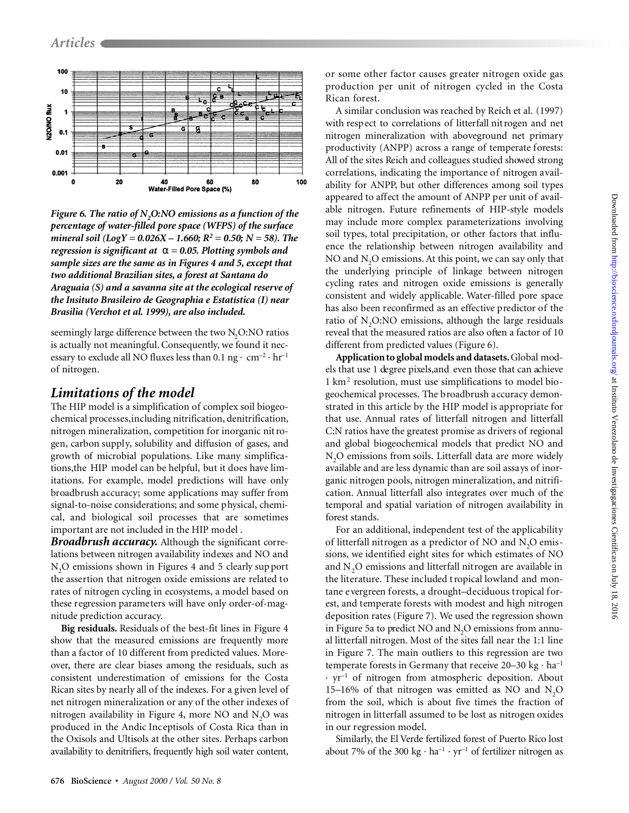

*Figure 6. The ratio of N<sub>2</sub>O:NO emissions as a function of the percentage of water-filled pore space (WFPS) of the surface mineral soil* (LogY = 0.026X – 1.660;  $R^2 = 0.50$ ;  $N = 58$ ). The *regression is significant at*  $\alpha = 0.05$ . Plotting symbols and *sample sizes are the same as in Figures 4 and 5, except that two additional Brazilian site s , a fo rest at Santana do Araguaia (S) and a savanna site at the ecological reserve of the Insituto Brasileiro de Geographia e Estatística (I) near Brasilia (Verchot et al. 1999), are also included.* 

seemingly large difference between the two N<sub>2</sub>O:NO ratios is actually not meaningful. Consequently, we found it necessary to exclude all NO fluxes less than  $0.1$  ng  $\cdot$  cm<sup>-2</sup>  $\cdot$  hr<sup>-1</sup> of nitrogen.

#### *Limitations of the model*

The HIP model is a simplification of complex soil biogeochemical processes,including nitrification, denitrification, nitrogen mineralization, competition for inorganic nit rogen, carbon supply, solubility and diffusion of gases, and growth of microbial populations. Like many simplifications,the HIP model can be helpful, but it does have limitations. For example, model predictions will have only broadbrush accuracy; some applications may suffer from signal-to-noise considerations; and some physical, chemical, and biological soil processes that are sometimes important are not included in the HIP model .

*Broadbrush accuracy.* Although the significant correlations between nitrogen availability indexes and NO and N<sub>2</sub>O emissions shown in Figures 4 and 5 clearly support the assertion that nitrogen oxide emissions are related to rates of nitrogen cycling in ecosystems, a model based on these regression parameters will have only order-of-magnitude prediction accuracy.

**Big residuals.** Residuals of the best-fit lines in Figure 4 show that the measured emissions are frequently more than a factor of 10 different from predicted values. Moreover, there are clear biases among the residuals, such as consistent underestimation of emissions for the Costa Rican sites by nearly all of the indexes. For a given level of net nitrogen mineralization or any of the other indexes of nitrogen availability in Figure 4, more NO and  $N_2O$  was produced in the Andic Inceptisols of Costa Rica than in the Oxisols and Ultisols at the other sites. Perhaps carbon availability to denitrifiers, frequently high soil water content, or some other factor causes greater nitrogen oxide gas production per unit of nitrogen cycled in the Costa Rican forest.

A similar conclusion was reached by Reich et al. (1997) with respect to correlations of litterfall nit rogen and net nitrogen mineralization with aboveground net primary productivity (ANPP) across a range of temperate forests: All of the sites Reich and colleagues studied showed strong correlations, indicating the importance of nitrogen availability for ANPP, but other differences among soil types appeared to affect the amount of ANPP per unit of available nitrogen. Future refinements of HIP-style models may include more complex parameterizations involving soil types, total precipitation, or other factors that influence the relationship between nitrogen availability and NO and N<sub>2</sub>O emissions. At this point, we can say only that the underlying principle of linkage between nitrogen cycling rates and nitrogen oxide emissions is generally consistent and widely applicable. Water-filled pore space has also been reconfirmed as an effective predictor of the ratio of N<sub>2</sub>O:NO emissions, although the large residuals reveal that the measured ratios are also often a factor of 10 different from predicted values (Figure 6).

Application to global models and datasets. Global models that use 1 degree pixels,and even those that can achieve 1 km<sup>2</sup> resolution, must use simplifications to model biogeochemical processes. The broadbrush accuracy demonstrated in this article by the HIP model is appropriate for that use. Annual rates of litterfall nitrogen and litterfall C:N ratios have the greatest promise as drivers of regional and global biogeochemical models that predict NO and N<sub>2</sub>O emissions from soils. Litterfall data are more widely available and are less dynamic than are soil assays of inorganic nitrogen pools, nitrogen mineralization, and nitrification. Annual litterfall also integrates over much of the temporal and spatial variation of nitrogen availability in forest stands.

For an additional, independent test of the applicability of litterfall nitrogen as a predictor of NO and N<sub>2</sub>O emissions, we identified eight sites for which estimates of NO and N<sub>2</sub>O emissions and litterfall nitrogen are available in the literature. These included tropical lowland and montane evergreen forests, a drought–deciduous tropical forest, and temperate forests with modest and high nitrogen deposition rates (Figure 7). We used the regression shown in Figure 5a to predict NO and  $N<sub>2</sub>O$  emissions from annual litterfall nitrogen. Most of the sites fall near the 1:1 line in Figure 7. The main outliers to this regression are two temperate forests in Germany that receive  $20-30 \text{ kg} \cdot \text{ha}^{-1}$ · yr –1 of nitrogen from atmospheric deposition. About 15–16% of that nitrogen was emitted as NO and  $N_2O$ from the soil, which is about five times the fraction of nitrogen in litterfall assumed to be lost as nitrogen oxides in our regression model.

Similarly, the El Verde fertilized forest of Puerto Rico lost about 7% of the 300 kg  $\cdot$  ha<sup>-1</sup>  $\cdot$  yr<sup>-1</sup> of fertilizer nitrogen as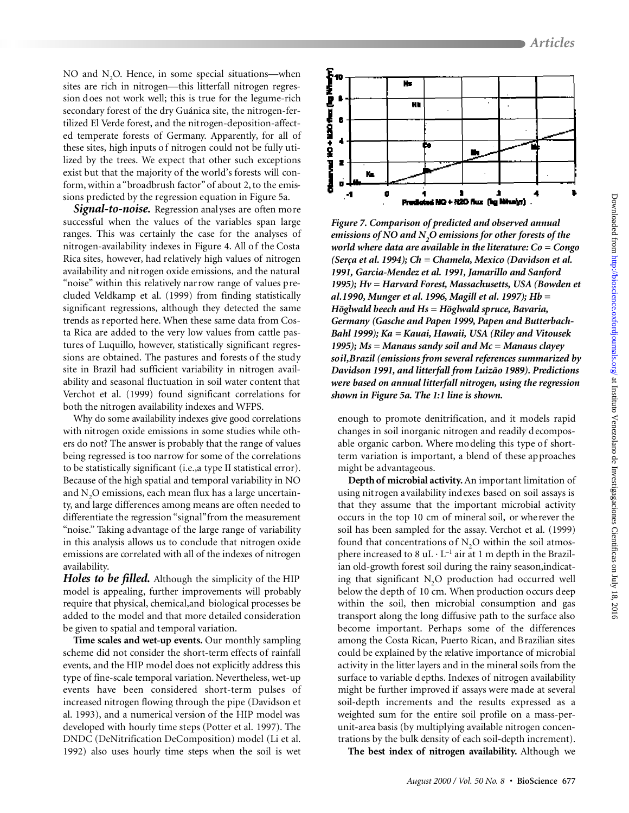NO and N<sub>2</sub>O. Hence, in some special situations—when sites are rich in nitrogen—this litterfall nitrogen regression does not work well; this is true for the legume-rich secondary forest of the dry Guánica site, the nitrogen-fertilized El Verde forest, and the nitrogen-deposition-affected temperate forests of Germany. Apparently, for all of these sites, high inputs of nitrogen could not be fully utilized by the trees. We expect that other such exceptions exist but that the majority of the world's forests will conform, within a "broadbrush factor" of about 2, to the emissions predicted by the regression equation in Figure 5a.

*Signal-to-noise.* Regression analyses are often more successful when the values of the variables span large ranges. This was certainly the case for the analyses of nitrogen-availability indexes in Figure 4. All of the Costa Rica sites, however, had relatively high values of nitrogen availability and nitrogen oxide emissions, and the natural "noise" within this relatively narrow range of values precluded Veldkamp et al. (1999) from finding statistically significant regressions, although they detected the same trends as reported here. When these same data from Costa Rica are added to the very low values from cattle pastures of Luquillo, however, statistically significant regressions are obtained. The pastures and forests of the study site in Brazil had sufficient variability in nitrogen availability and seasonal fluctuation in soil water content that Verchot et al. (1999) found significant correlations for both the nitrogen availability indexes and WFPS.

Why do some availability indexes give good correlations with nitrogen oxide emissions in some studies while others do not? The answer is probably that the range of values being regressed is too narrow for some of the correlations to be statistically significant (i.e.,a type II statistical error). Because of the high spatial and temporal variability in NO and N<sub>2</sub>O emissions, each mean flux has a large uncertainty, and large differences among means are often needed to differentiate the regression "signal"from the measurement "noise." Taking advantage of the large range of variability in this analysis allows us to conclude that nitrogen oxide emissions are correlated with all of the indexes of nitrogen availability.

*Holes to be filled.* Although the simplicity of the HIP model is appealing, further improvements will probably require that physical, chemical,and biological processes be added to the model and that more detailed consideration be given to spatial and temporal variation.

**Time scales and wet-up events.** Our monthly sampling scheme did not consider the short-term effects of rainfall events, and the HIP model does not explicitly address this type of fine-scale temporal variation. Nevertheless, wet-up events have been considered short-term pulses of increased nitrogen flowing through the pipe (Davidson et al. 1993), and a numerical version of the HIP model was developed with hourly time steps (Potter et al. 1997). The DNDC (DeNitrification DeComposition) model (Li et al. 1992) also uses hourly time steps when the soil is wet



Figure 7. Comparison of predicted and observed annual *emissions of NO and N<sub>2</sub>O emissions for other forests of the world where data are available in the literature: Co = Congo (Serça et al. 1994); Ch = Chamela, Mexico (Davidson et al. 1 9 9 1 , Ga rci a - Men d ez et al. 1 9 9 1 , Ja m a ri llo and Sanfo rd 1995); Hv = Harvard Forest, Massachusetts, USA (Bowden et a l .1 9 9 0 , Mu n ger et al. 1 9 9 6 , Ma gi ll et al. 1997); Hb = H*öglwald beech and Hs = Höglwald spruce, Bavaria, Germany (Gasche and Papen 1999, Papen and Butterbach-*Bahl 1999); Ka = Kauai, Hawaii, USA (Riley and Vitousek 1995); Ms = Manaus sandy soil and Mc = Manaus clayey so i l ,B razil (emissions from several ref eren ces su m m a ri zed by Davidson 1991, and litterfall from Luizão 1989). Predictions were based on annual litterfall nitrogen, using the regression* shown in Figure 5a. The 1:1 line is shown.

enough to promote denitrification, and it models rapid changes in soil inorganic nitrogen and readily d ecomposable organic carbon. Where modeling this type of shortterm variation is important, a blend of these approaches might be advantageous.

**Depth of microbial activity.** An important limitation of using nitrogen availability indexes based on soil assays is that they assume that the important microbial activity occurs in the top 10 cm of mineral soil, or wherever the soil has been sampled for the assay. Verchot et al. (1999) found that concentrations of  $N<sub>2</sub>O$  within the soil atmosphere increased to 8 uL $\cdot$  L<sup>-1</sup> air at 1 m depth in the Brazilian old-growth forest soil during the rainy season,indicating that significant N<sub>2</sub>O production had occurred well below the depth of 10 cm. When production occurs deep within the soil, then microbial consumption and gas transport along the long diffusive path to the surface also become important. Perhaps some of the differences among the Costa Rican, Puerto Rican, and Brazilian sites could be explained by the relative importance of microbial activity in the litter layers and in the mineral soils from the surface to variable depths. Indexes of nitrogen availability might be further improved if assays were made at several soil-depth increments and the results expressed as a weighted sum for the entire soil profile on a mass-perunit-area basis (by multiplying available nitrogen concentrations by the bulk density of each soil-depth increment).

The best index of nitrogen availability. Although we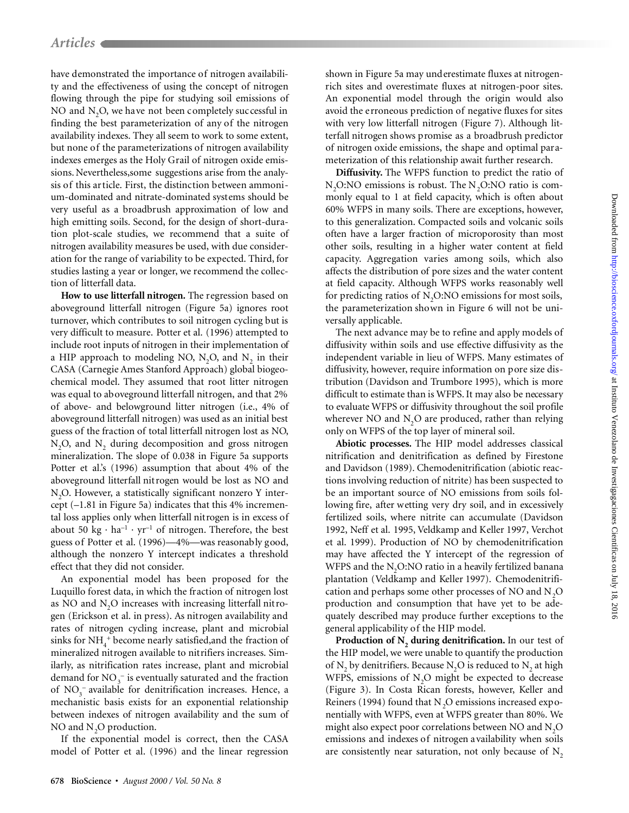have demonstrated the importance of nitrogen availability and the effectiveness of using the concept of nitrogen flowing through the pipe for studying soil emissions of NO and N<sub>2</sub>O, we have not been completely successful in finding the best parameterization of any of the nitrogen availability indexes. They all seem to work to some extent, but none of the parameterizations of nitrogen availability indexes emerges as the Holy Grail of nitrogen oxide emissions. Nevertheless,some suggestions arise from the analysis of this article. First, the distinction between ammonium-dominated and nitrate-dominated systems should be very useful as a broadbrush approximation of low and high emitting soils. Second, for the design of short-duration plot-scale studies, we recommend that a suite of nitrogen availability measures be used, with due consideration for the range of variability to be expected. Third, for studies lasting a year or longer, we recommend the collection of litterfall data.

How to use litterfall nitrogen. The regression based on aboveground litterfall nitrogen (Figure 5a) ignores root turnover, which contributes to soil nitrogen cycling but is very difficult to measure. Potter et al. (1996) attempted to include root inputs of nitrogen in their implementation of a HIP approach to modeling NO,  $N_2$ O, and  $N_2$  in their CASA (Carnegie Ames Stanford Approach) global biogeochemical model. They assumed that root litter nitrogen was equal to aboveground litterfall nitrogen, and that 2% of above- and belowground litter nitrogen (i.e., 4% of aboveground litterfall nitrogen) was used as an initial best guess of the fraction of total litterfall nitrogen lost as NO,  $N_2O$ , and  $N_2$  during decomposition and gross nitrogen mineralization. The slope of 0.038 in Figure 5a supports Potter et al.'s (1996) assumption that about 4% of the aboveground litterfall nitrogen would be lost as NO and  $N<sub>2</sub>O$ . However, a statistically significant nonzero Y intercept (–1.81 in Figure 5a) indicates that this 4% incremental loss applies only when litterfall nitrogen is in excess of about 50  $kg \cdot ha^{-1} \cdot yr^{-1}$  of nitrogen. Therefore, the best guess of Potter et al. (1996)—4%—was reasonably good, although the nonzero Y intercept indicates a threshold effect that they did not consider.

An exponential model has been proposed for the Luquillo forest data, in which the fraction of nitrogen lost as NO and  $N<sub>2</sub>O$  increases with increasing litterfall nitrogen (Erickson et al. in press). As nitrogen availability and rates of nitrogen cycling increase, plant and microbial sinks for  $\mathrm{NH}_4^+$  become nearly satisfied,<br>and the fraction of mineralized nitrogen available to nitrifiers increases. Similarly, as nitrification rates increase, plant and microbial demand for NO $_3^-$  is eventually saturated and the fraction of  $NO<sub>3</sub><sup>-</sup>$  available for denitrification increases. Hence, a mechanistic basis exists for an exponential relationship between indexes of nitrogen availability and the sum of NO and N<sub>2</sub>O production.

If the exponential model is correct, then the CASA model of Potter et al. (1996) and the linear regression shown in Figure 5a may underestimate fluxes at nitrogenrich sites and overestimate fluxes at nitrogen-poor sites. An exponential model through the origin would also avoid the erroneous prediction of negative fluxes for sites with very low litterfall nitrogen (Figure 7). Although litterfall nitrogen shows promise as a broadbrush predictor of nitrogen oxide emissions, the shape and optimal parameterization of this relationship await further research.

**Diffusivity.** The WFPS function to predict the ratio of  $N_2O:NO$  emissions is robust. The  $N_2O:NO$  ratio is commonly equal to 1 at field capacity, which is often about 60% WFPS in many soils. There are exceptions, however, to this generalization. Compacted soils and volcanic soils often have a larger fraction of microporosity than most other soils, resulting in a higher water content at field capacity. Aggregation varies among soils, which also affects the distribution of pore sizes and the water content at field capacity. Although WFPS works reasonably well for predicting ratios of N<sub>2</sub>O:NO emissions for most soils, the parameterization shown in Figure 6 will not be universally applicable.

The next advance may be to refine and apply models of diffusivity within soils and use effective diffusivity as the independent variable in lieu of WFPS. Many estimates of diffusivity, however, require information on pore size distribution (Davidson and Trumbore 1995), which is more difficult to estimate than is WFPS.It may also be necessary to evaluate WFPS or diffusivity throughout the soil profile wherever  $NO$  and  $N<sub>2</sub>O$  are produced, rather than relying only on WFPS of the top layer of mineral soil.

Abiotic processes. The HIP model addresses classical nitrification and denitrification as defined by Firestone and Davidson (1989). Chemodenitrification (abiotic reactions involving reduction of nitrite) has been suspected to be an important source of NO emissions from soils following fire, after wetting very dry soil, and in excessively fertilized soils, where nitrite can accumulate (Davidson 1992, Neff et al. 1995, Veldkamp and Keller 1997, Verchot et al. 1999). Production of NO by chemodenitrification may have affected the Y intercept of the regression of WFPS and the N<sub>2</sub>O:NO ratio in a heavily fertilized banana plantation (Veldkamp and Keller 1997). Chemodenitrification and perhaps some other processes of NO and N2O production and consumption that have yet to be adequately described may produce further exceptions to the general applicability of the HIP model.

**Production of N<sub>2</sub> during denitrification.** In our test of the HIP model, we were unable to quantify the production of  $N_2$  by denitrifiers. Because  $N_2$ O is reduced to  $N_2$  at high WFPS, emissions of  $N_2O$  might be expected to decrease (Figure 3). In Costa Rican forests, however, Keller and Reiners (1994) found that  $N_2O$  emissions increased exponentially with WFPS, even at WFPS greater than 80%. We might also expect poor correlations between NO and N<sub>2</sub>O emissions and indexes of nitrogen availability when soils are consistently near saturation, not only because of  $N$ ,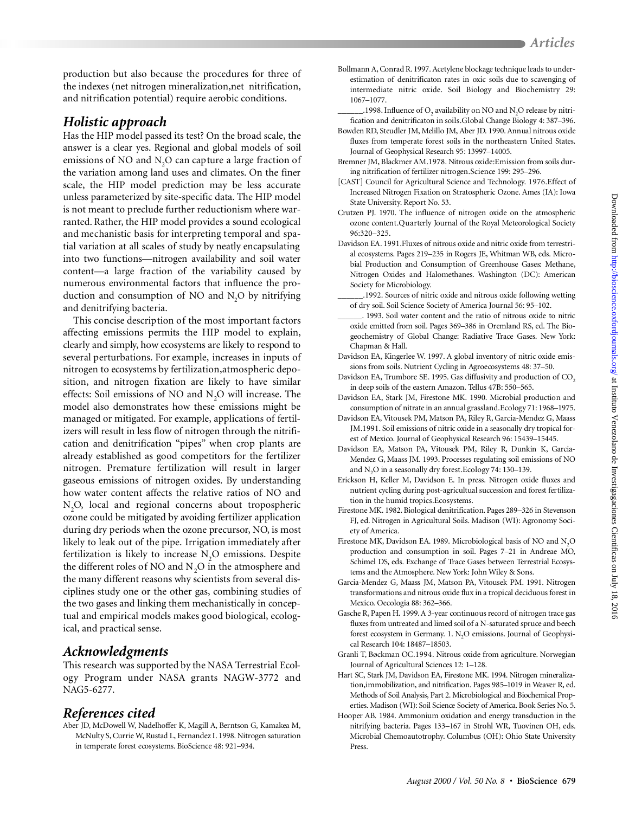production but also because the procedures for three of the indexes (net nitrogen mineralization, net nitrification, and nitrification potential) require aerobic conditions.

#### *Holistic approach*

Has the HIP model passed its test? On the broad scale, the answer is a clear yes. Regional and global models of soil emissions of NO and N<sub>2</sub>O can capture a large fraction of the variation among land uses and climates. On the finer scale, the HIP model prediction may be less accurate unless parameterized by site-specific data. The HIP model is not meant to preclude further reductionism where warranted. Rather, the HIP model provides a sound ecological and mechanistic basis for interpreting temporal and spatial variation at all scales of study by neatly encapsulating into two functions—nitrogen availability and soil water content—a large fraction of the variability caused by numerous environmental factors that influence the production and consumption of  $NO$  and  $N<sub>2</sub>O$  by nitrifying and denitrifying bacteria.

This concise description of the most important factors affecting emissions permits the HIP model to explain, clearly and simply, how ecosystems are likely to respond to several perturbations. For example, increases in inputs of nitrogen to ecosystems by fertilization,atmospheric deposition, and nitrogen fixation are likely to have similar effects: Soil emissions of NO and N<sub>2</sub>O will increase. The model also demonstrates how these emissions might be managed or mitigated. For example, applications of fertilizers will result in less flow of nitrogen through the nitrification and denitrification "pipes" when crop plants are already established as good competitors for the fertilizer nitrogen. Premature fertilization will result in larger gaseous emissions of nitrogen oxides. By understanding how water content affects the relative ratios of NO and N<sub>2</sub>O, local and regional concerns about tropospheric ozone could be mitigated by avoiding fertilizer application during dry periods when the ozone precursor, NO, is most likely to leak out of the pipe. Irrigation immediately after fertilization is likely to increase N<sub>2</sub>O emissions. Despite the different roles of NO and  $N<sub>2</sub>O$  in the atmosphere and the many different reasons why scientists from several disciplines study one or the other gas, combining studies of the two gases and linking them mechanistically in conceptual and empirical models makes good biological, ecological, and practical sense.

## *Ack n owl e d gm en t s*

This research was supported by the NASA Terrestrial Ecology Program under NASA grants NAGW-3772 and NAG5-6277.

## *Ref eren ces ci te d*

Aber JD, McDowell W, Nadelhoffer K, Magill A, Berntson G, Kamakea M, McNulty S, Currie W, Rustad L, Fernandez I. 1998. Nitrogen saturation in temperate forest ecosystems. BioScience 48: 921-934.

- Bollmann A, Conrad R. 1997. Acetylene blockage technique leads to underestimation of denitrificaton rates in oxic soils due to scavenging of intermediate nitric oxide. Soil Biology and Biochemistry 29: 1067-1077.
- \_\_\_\_\_\_.1998. Influence of  $\mathrm{O}_2$  availability on NO and  $\mathrm{N}_2\mathrm{O}$  release by nitrification and denitrificaton in soils.Global Change Biology 4: 387-396.
- Bowden RD, Steudler JM, Melillo JM, Aber JD. 1990. Annual nitrous oxide fluxes from temperate forest soils in the northeastern United States. Journal of Geophysical Research 95: 13997-14005.
- Bremner JM, Blackmer AM.1978. Nitrous oxide:Emission from soils during nitrification of fertilizer nitrogen.Science 199: 295–296.
- [CAST] Council for Agricultural Science and Technology. 1976.Effect of Increased Nitrogen Fixation on Stratospheric Ozone. Ames (IA): Iowa State University. Report No. 53.
- Crutzen PJ. 1970. The influence of nitrogen oxide on the atmospheric ozone content.Quarterly Journal of the Royal Meteorological Society 96:320-325.
- Davidson EA. 1991. Fluxes of nitrous oxide and nitric oxide from terrestrial ecosystems. Pages 219-235 in Rogers JE, Whitman WB, eds. Microbial Production and Consumption of Greenhouse Gases: Methane, Nitrogen Oxides and Halomethanes. Washington (DC): American Society for Microbiology.
- .1992. Sources of nitric oxide and nitrous oxide following wetting of dry soil. Soil Science Society of America Journal 56: 95-102.
- . 1993. Soil water content and the ratio of nitrous oxide to nitric oxide emitted from soil. Pages 369-386 in Oremland RS, ed. The Biogeochemistry of Global Change: Radiative Trace Gases. New York: Chapman & Hall.
- Davidson EA, Kingerlee W. 1997. A global inventory of nitric oxide emissions from soils. Nutrient Cycling in Agroecosystems 48: 37-50.
- Davidson EA, Trumbore SE. 1995. Gas diffusivity and production of CO<sub>2</sub> in deep soils of the eastern Amazon. Tellus 47B: 550-565.
- Davidson EA, Stark JM, Firestone MK. 1990. Microbial production and consumption of nitrate in an annual grassland. Ecology 71: 1968-1975.
- Davidson EA, Vitousek PM, Matson PA, Riley R, Garcia-Mendez G, Maass JM.1991. Soil emissions of nitric oxide in a seasonally dry tropical forest of Mexico. Journal of Geophysical Research 96: 15439-15445.
- Davidson EA, Matson PA, Vitousek PM, Riley R, Dunkin K, Garcia-Mendez G, Maass JM. 1993. Processes regulating soil emissions of NO and N<sub>2</sub>O in a seasonally dry forest. Ecology 74: 130-139.
- Erickson H, Keller M, Davidson E. In press. Nitrogen oxide fluxes and nutrient cycling during post-agricultual succession and forest fertilization in the humid tropics. Ecosystems.
- Firestone MK. 1982. Biological denitrification. Pages 289-326 in Stevenson FJ, ed. Nitrogen in Agricultural Soils. Madison (WI): Agronomy Society of America.
- Firestone MK, Davidson EA. 1989. Microbiological basis of NO and  $N_2O$ production and consumption in soil. Pages 7-21 in Andreae MO, Schimel DS, eds. Exchange of Trace Gases between Terrestrial Ecosystems and the Atmosphere. New York: John Wiley & Sons.
- Garcia-Mendez G, Maass JM, Matson PA, Vitousek PM. 1991. Nitrogen transformations and nitrous oxide flux in a tropical deciduous forest in Mexico. Oecologia 88: 362-366.
- Gasche R, Papen H. 1999. A 3-year continuous record of nitrogen trace gas fluxes from untreated and limed soil of a N-saturated spruce and beech forest ecosystem in Germany. 1. N<sub>2</sub>O emissions. Journal of Geophysical Research 104: 18487-18503.
- Granli T, Bøckman OC.1994. Nitrous oxide from agriculture. Norwegian Journal of Agricultural Sciences 12: 1-128.
- Hart SC, Stark JM, Davidson EA, Firestone MK. 1994. Nitrogen mineralization, immobilization, and nitrification. Pages 985-1019 in Weaver R, ed. Methods of Soil Analysis, Part 2. Microbiological and Biochemical Properties. Madison (WI): Soil Science Society of America. Book Series No. 5.
- Hooper AB. 1984. Ammonium oxidation and energy transduction in the nitrifying bacteria. Pages 133-167 in Strohl WR, Tuovinen OH, eds. Microbial Chemoautotrophy. Columbus (OH): Ohio State University Press.